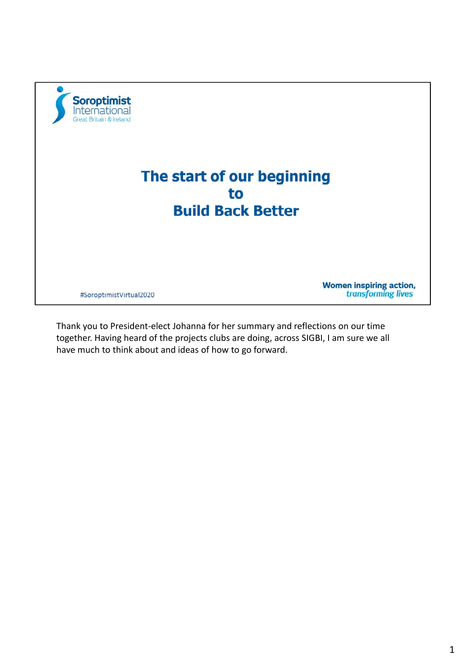

Thank you to President‐elect Johanna for her summary and reflections on our time together. Having heard of the projects clubs are doing, across SIGBI, I am sure we all have much to think about and ideas of how to go forward.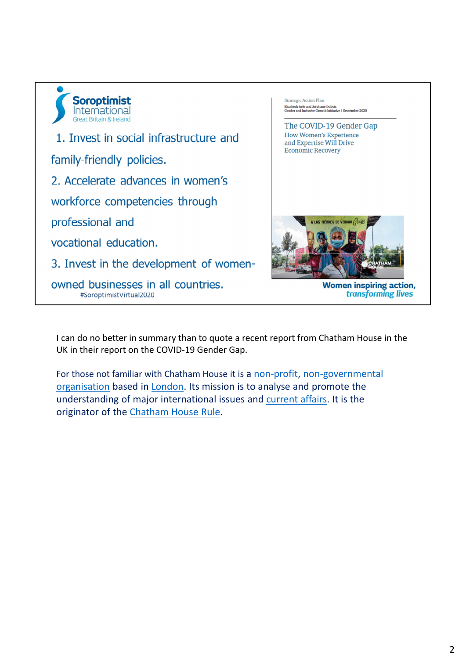

I can do no better in summary than to quote a recent report from Chatham House in the UK in their report on the COVID‐19 Gender Gap.

For those not familiar with Chatham House it is a non-profit, non-governmental organisation based in London. Its mission is to analyse and promote the understanding of major international issues and current affairs. It is the originator of the Chatham House Rule.